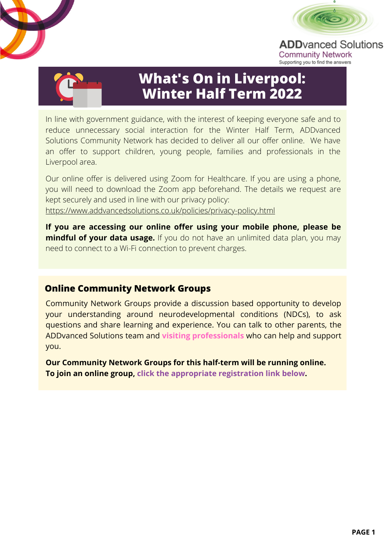

**ADD**vanced Solutions **Community Network** Supporting you to find the answers



# **What's On in Liverpool: Winter Half Term 2022**

In line with government guidance, with the interest of keeping everyone safe and to reduce unnecessary social interaction for the Winter Half Term, ADDvanced Solutions Community Network has decided to deliver all our offer online. We have an offer to support children, young people, families and professionals in the Liverpool area.

Our online offer is delivered using Zoom for Healthcare. If you are using a phone, you will need to download the Zoom app beforehand. The details we request are kept securely and used in line with our privacy policy: <https://www.addvancedsolutions.co.uk/policies/privacy-policy.html>

**If you are accessing our online offer using your mobile phone, please be mindful of your data usage.** If you do not have an unlimited data plan, you may need to connect to a Wi-Fi connection to prevent charges.

## **Online Community Network Groups**

Community Network Groups provide a discussion based opportunity to develop your understanding around neurodevelopmental conditions (NDCs), to ask questions and share learning and experience. You can talk to other parents, the ADDvanced Solutions team and **visiting professionals** who can help and support you.

**Our Community Network Groups for this half-term will be running online. To join an online group, click the appropriate registration link below.**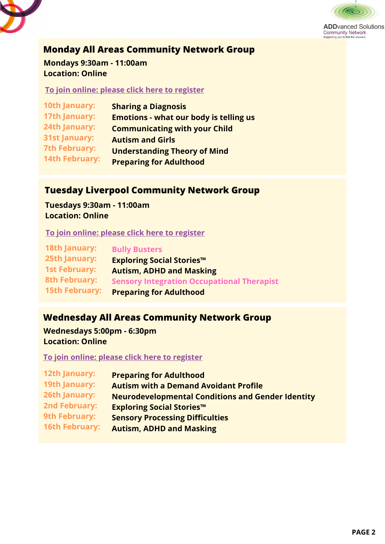



**ADD**vanced Solutions Community Network<br>Supporting you to find the answers

**Monday All Areas Community Network Group**

**Mondays 9:30am - 11:00am Location: Online**

**To join online: please click here to [register](https://us06web.zoom.us/webinar/register/WN_4GLgVsoDT6-kx0tJYQ7lpQ)**

| <b>10th January:</b>  | <b>Sharing a Diagnosis</b>                    |
|-----------------------|-----------------------------------------------|
| 17th January:         | <b>Emotions - what our body is telling us</b> |
| 24th January:         | <b>Communicating with your Child</b>          |
| <b>31st January:</b>  | <b>Autism and Girls</b>                       |
| <b>7th February:</b>  | <b>Understanding Theory of Mind</b>           |
| <b>14th February:</b> | <b>Preparing for Adulthood</b>                |

### **Tuesday Liverpool Community Network Group**

**Tuesdays 9:30am - 11:00am Location: Online**

**To join online: please click here to [register](https://us06web.zoom.us/webinar/register/WN_bh7GXEooQ-6lky-bYIHD9Q)**

| <b>18th January:</b>  | <b>Bully Busters</b>                              |
|-----------------------|---------------------------------------------------|
| <b>25th January:</b>  | <b>Exploring Social Stories™</b>                  |
| <b>1st February:</b>  | <b>Autism, ADHD and Masking</b>                   |
| <b>8th February:</b>  | <b>Sensory Integration Occupational Therapist</b> |
| <b>15th February:</b> | <b>Preparing for Adulthood</b>                    |

# **Wednesday All Areas Community Network Group**

**Wednesdays 5:00pm - 6:30pm Location: Online**

**To join online: please click here to [register](https://us06web.zoom.us/webinar/register/WN_K_x_0_OySN2h8zvHQ9asng)**

| <b>12th January:</b>  | <b>Preparing for Adulthood</b>                           |
|-----------------------|----------------------------------------------------------|
| <b>19th January:</b>  | <b>Autism with a Demand Avoidant Profile</b>             |
| 26th January:         | <b>Neurodevelopmental Conditions and Gender Identity</b> |
| <b>2nd February:</b>  | <b>Exploring Social Stories™</b>                         |
| <b>9th February:</b>  | <b>Sensory Processing Difficulties</b>                   |
| <b>16th February:</b> | <b>Autism, ADHD and Masking</b>                          |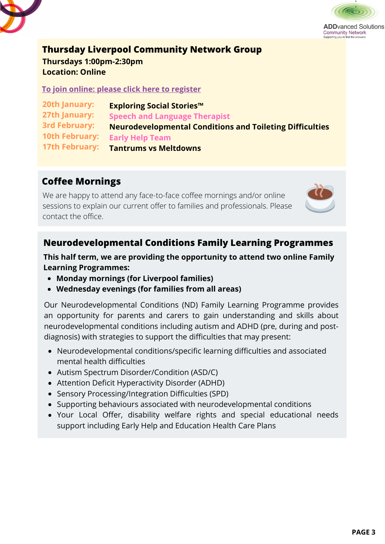



**Community Network** 

#### **Thursday Liverpool Community Network Group**

**Thursdays 1:00pm-2:30pm Location: Online**

**To join online: please click here to [register](https://us06web.zoom.us/webinar/register/WN_lubmYsTIQq2flp8wef1IIg)**

**20th January: 27th January: 3rd February: 10th February: 17th February: Exploring Social Stories™ Speech and Language Therapist Neurodevelopmental Conditions and Toileting Difficulties Early Help Team Tantrums vs Meltdowns**

# **Coffee Mornings**

We are happy to attend any face-to-face coffee mornings and/or online sessions to explain our current offer to families and professionals. Please contact the office.



# **Neurodevelopmental Conditions Family Learning Programmes**

**This half term, we are providing the opportunity to attend two online Family Learning Programmes:**

- **Monday mornings (for Liverpool families)**
- **Wednesday evenings (for families from all areas)**

Our Neurodevelopmental Conditions (ND) Family Learning Programme provides an opportunity for parents and carers to gain understanding and skills about neurodevelopmental conditions including autism and ADHD (pre, during and postdiagnosis) with strategies to support the difficulties that may present:

- Neurodevelopmental conditions/specific learning difficulties and associated mental health difficulties
- Autism Spectrum Disorder/Condition (ASD/C)
- Attention Deficit Hyperactivity Disorder (ADHD)
- Sensory Processing/Integration Difficulties (SPD)
- Supporting behaviours associated with neurodevelopmental conditions
- Your Local Offer, disability welfare rights and special educational needs support including Early Help and Education Health Care Plans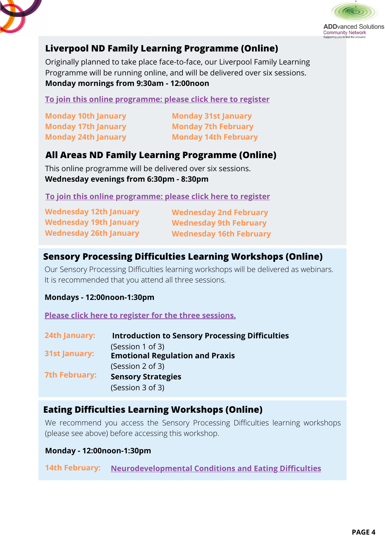



# **Liverpool ND Family Learning Programme (Online)**

Originally planned to take place face-to-face, our Liverpool Family Learning Programme will be running online, and will be delivered over six sessions. **Monday mornings from 9:30am - 12:00noon**

**To join this online [programme:](https://us06web.zoom.us/webinar/register/WN_VrYqpQ85RyibZC7vfCXY_A) please click here to register**

**Monday 10th January Monday 17th January Monday 24th January**

**Monday 31st January Monday 7th February Monday 14th February**

# **All Areas ND Family Learning Programme (Online)**

This online programme will be delivered over six sessions. **Wednesday evenings from 6:30pm - 8:30pm**

**To join this online [programme:](https://us06web.zoom.us/webinar/register/WN_FIddWRUvRUyqh-xUIjt-_Q) please click here to register**

| <b>Wednesday 12th January</b> | <b>Wednesday 2nd February</b>  |
|-------------------------------|--------------------------------|
| <b>Wednesday 19th January</b> | <b>Wednesday 9th February</b>  |
| <b>Wednesday 26th January</b> | <b>Wednesday 16th February</b> |

# **Sensory Processing Difficulties Learning Workshops (Online)**

Our Sensory Processing Difficulties learning workshops will be delivered as webinars. It is recommended that you attend all three sessions.

#### **Mondays - 12:00noon-1:30pm**

**Please click here to register for the three [sessions.](https://us06web.zoom.us/webinar/register/WN__DGeFy2gS3WHU1BLRlOenQ)**

| <b>24th January:</b> | <b>Introduction to Sensory Processing Difficulties</b> |
|----------------------|--------------------------------------------------------|
|                      | (Session 1 of 3)                                       |
| <b>31st January:</b> | <b>Emotional Regulation and Praxis</b>                 |
|                      | (Session 2 of 3)                                       |
| <b>7th February:</b> | <b>Sensory Strategies</b>                              |
|                      | (Session 3 of 3)                                       |
|                      |                                                        |

## **Eating Difficulties Learning Workshops (Online)**

We recommend you access the Sensory Processing Difficulties learning workshops (please see above) before accessing this workshop.

**Monday - 12:00noon-1:30pm**

**14th February: [Neurodevelopmental](https://us06web.zoom.us/webinar/register/WN_J89LrDPiRaa5awYhKH6v-g) Conditions and Eating Difficulties**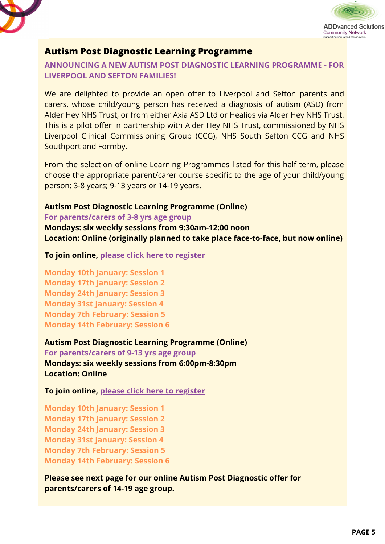



## **Autism Post Diagnostic Learning Programme**

#### **ANNOUNCING A NEW AUTISM POST DIAGNOSTIC LEARNING PROGRAMME - FOR LIVERPOOL AND SEFTON FAMILIES!**

We are delighted to provide an open offer to Liverpool and Sefton parents and carers, whose child/young person has received a diagnosis of autism (ASD) from Alder Hey NHS Trust, or from either Axia ASD Ltd or Healios via Alder Hey NHS Trust. This is a pilot offer in partnership with Alder Hey NHS Trust, commissioned by NHS Liverpool Clinical Commissioning Group (CCG), NHS South Sefton CCG and NHS Southport and Formby.

From the selection of online Learning Programmes listed for this half term, please choose the appropriate parent/carer course specific to the age of your child/young person: 3-8 years; 9-13 years or 14-19 years.

# **Autism Post Diagnostic Learning Programme (Online)**

#### **For parents/carers of 3-8 yrs age group**

**Mondays: six weekly sessions from 9:30am-12:00 noon Location: Online (originally planned to take place face-to-face, but now online)**

**To join online, please click here to [register](https://us06web.zoom.us/webinar/register/WN_MCUAq3LGRQeMhDt9ObzkyA)**

**Monday 10th January: Session 1 Monday 17th January: Session 2 Monday 24th January: Session 3 Monday 31st January: Session 4 Monday 7th February: Session 5 Monday 14th February: Session 6**

#### **Autism Post Diagnostic Learning Programme (Online)**

**For parents/carers of 9-13 yrs age group Mondays: six weekly sessions from 6:00pm-8:30pm Location: Online**

**To join online, please click here to [register](https://us06web.zoom.us/webinar/register/WN_xTtnM6hcRuetqGvOjtj_Dw)**

**Monday 10th January: Session 1 Monday 17th January: Session 2 Monday 24th January: Session 3 Monday 31st January: Session 4 Monday 7th February: Session 5 Monday 14th February: Session 6**

**Please see next page for our online Autism Post Diagnostic offer for parents/carers of 14-19 age group.**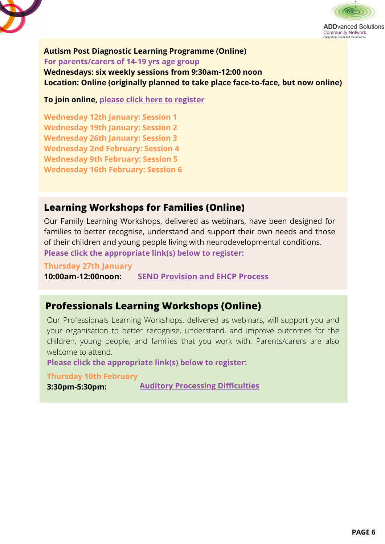



### **Autism Post Diagnostic Learning Programme (Online)**

**For parents/carers of 14-19 yrs age group**

**Wednesdays: six weekly sessions from 9:30am-12:00 noon Location: Online (originally planned to take place face-to-face, but now online)**

**To join online, please click here to [register](https://us06web.zoom.us/webinar/register/WN_epgRAG4xR0ChMKT0d8N4Gg)**

**Wednesday 12th January: Session 1 Wednesday 19th January: Session 2 Wednesday 26th January: Session 3 Wednesday 2nd February: Session 4 Wednesday 9th February: Session 5 Wednesday 16th February: Session 6**

# **Learning Workshops for Families (Online)**

Our Family Learning Workshops, delivered as webinars, have been designed for families to better recognise, understand and support their own needs and those of their children and young people living with neurodevelopmental conditions. **Please click the appropriate link(s) below to register:**

**Thursday 27th January 10:00am-12:00noon: SEND [Provision](https://us06web.zoom.us/webinar/register/WN_W305J-GNQJKlbJuc7AjpJw) and EHCP Process**

## **Professionals Learning Workshops (Online)**

Our Professionals Learning Workshops, delivered as webinars, will support you and your organisation to better recognise, understand, and improve outcomes for the children, young people, and families that you work with. Parents/carers are also welcome to attend.

**Please click the appropriate link(s) below to register:**

**Thursday 10th February**

**3:30pm-5:30pm:**

**Auditory Processing [Difficulties](https://us06web.zoom.us/webinar/register/WN_OaIjqm5kS_KON_w1N_nRYw)**